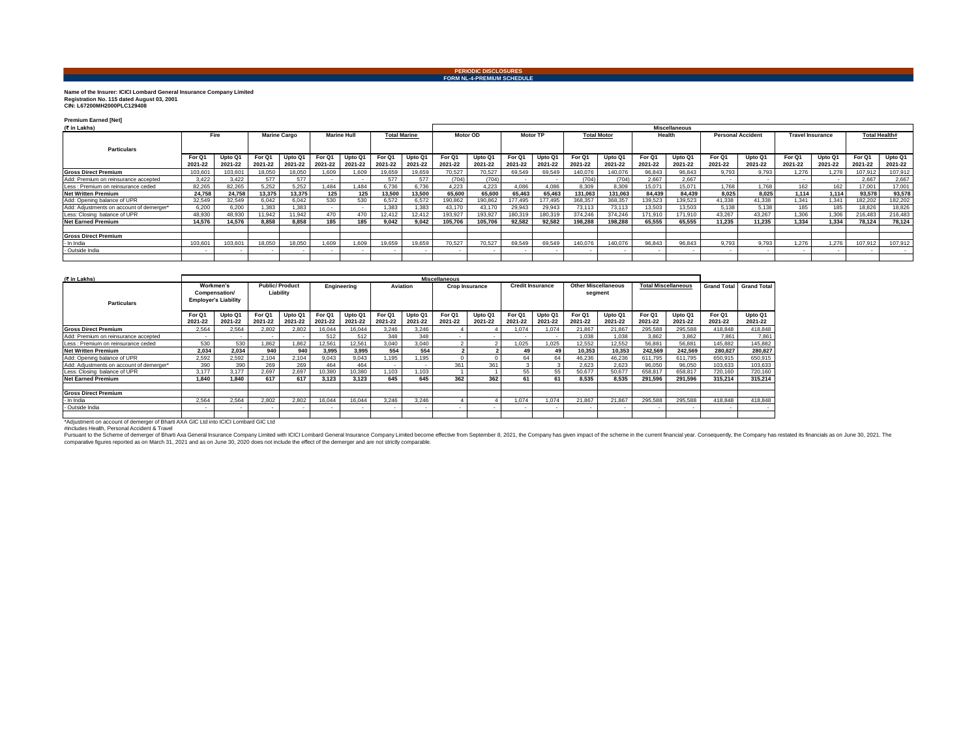## **PERIODIC DISCLOSURES FORM NL-4-PREMIUM SCHEDULE**

## **Name of the Insurer: ICICI Lombard General Insurance Company Limited Registration No. 115 dated August 03, 2001 CIN: L67200MH2000PLC129408**

**Premium Earned [Net]**

| (₹ in Lakhs)                             |                   |                    |                     |                    |                    |                    |                     |                    |                   |                    | <b>Miscellaneous</b> |                    |                    |                    |                   |                    |                          |                    |                         |                    |                      |                    |  |  |
|------------------------------------------|-------------------|--------------------|---------------------|--------------------|--------------------|--------------------|---------------------|--------------------|-------------------|--------------------|----------------------|--------------------|--------------------|--------------------|-------------------|--------------------|--------------------------|--------------------|-------------------------|--------------------|----------------------|--------------------|--|--|
|                                          | Fire              |                    | <b>Marine Cargo</b> |                    | <b>Marine Hull</b> |                    | <b>Total Marine</b> |                    | Motor OD          |                    | <b>Motor TF</b>      |                    | <b>Total Motor</b> |                    | Health            |                    | <b>Personal Accident</b> |                    | <b>Travel Insurance</b> |                    | <b>Total Health#</b> |                    |  |  |
| <b>Particulars</b>                       |                   |                    |                     |                    |                    |                    |                     |                    |                   |                    |                      |                    |                    |                    |                   |                    |                          |                    |                         |                    |                      |                    |  |  |
|                                          | For Q1<br>2021-22 | Upto Q1<br>2021-22 | For Q1<br>2021-22   | Upto Q1<br>2021-22 | For Q1<br>2021-22  | Upto Q1<br>2021-22 | For 01<br>2021-22   | Upto Q1<br>2021-22 | For Q1<br>2021-22 | Upto Q1<br>2021-22 | For Q1<br>2021-22    | Upto Q1<br>2021-22 | For Q1<br>2021-22  | Upto Q1<br>2021-22 | For Q1<br>2021-22 | Upto Q1<br>2021-22 | For Q1<br>2021-22        | Upto Q1<br>2021-22 | For Q1<br>2021-22       | Upto Q1<br>2021-22 | For Q1<br>2021-22    | Upto Q1<br>2021-22 |  |  |
| <b>Gross Direct Premium</b>              | 103,601           | 103,601            | 18,050              | 18,050             | 1,609              | 1.609              | 19.659              | 19,659             | 70.527            | 70,527             | 69,549               | 69.549             | 140,076            | 140,076            | 96,843            | 96.843             | 9,793                    | 9.793              | 1.276                   | 1.276              | 107.91.              | 107,912            |  |  |
| Add: Premium on reinsurance accepted     | 3,422             | 3.422              | 577                 | 577                |                    | $\sim$             | 577                 | 577                | (704)             | (704)              |                      | $\sim$             | (704)              | (704)              | 2.667             | 2.667              |                          |                    |                         |                    | 2.667                | 2,667              |  |  |
| Less : Premium on reinsurance ceded      | 82.265            | 82.265             | 5.252               | 5.252              | 1.484              | 1.484              | 6.736               | 6.736              | 4.223             | 4.223              | 4.086                | 4.086              | 8.309              | 8.309              | 15.071            | 15.071             | 1.768                    | 1.768              | 162                     | 162                | 17.001               | 17,001             |  |  |
| <b>Net Written Premium</b>               | 24.758            | 24.758             | 13.375              | 13,375             | 125                | 125                | 13.500              | 13,500             | 65.600            | 65.600             | 65.463               | 65.463             | 131,063            | 131.063            | 84.439            | 84.439             | 8.025                    | 8.025              | 1.114                   | 1.114              | 93.578               | 93,578             |  |  |
| Add: Opening balance of UPR              | 32.549            | 32.549             | 6,042               | 6.042              | 530                | 530                | 6.572               | 6,572              | 190,862           | 190,862            | 177,495              | 177,495            | 368,357            | 368,357            | 139,523           | 139,523            | 41,338                   | 41,338             | 1.341                   | 1.341              | 182,202              | 182,202            |  |  |
| Add: Adjustments on account of demerger* | 6,200             | 6,200              | 1.383               | .383               |                    |                    | 1.383               | 1,383              | 43.170            | 43,170             | 29,943               | 29.943             | 73.113             | 73.113             | 13.503            | 13.503             | 5.138                    | 5.138              | 185                     | 185                | 18.826               | 18,826             |  |  |
| Less: Closing balance of UPR             | 48,930            | 48.930             | 1.942               | 11.942             | 470                | 470                | 12.412              | 12.412             | 193.927           | 193.927            | 180.319              | 180.319            | 374.246            | 374.246            | 171.910           | 171.910            | 43.267                   | 43.267             | 1.306                   | 1.306              | 216.483              | 216,483            |  |  |
| <b>Net Earned Premium</b>                | 14,576            | 14,576             | 8.858               | 8.858              |                    | 185                | 9.042               | 9,042              | 105,706           | 105,706            | 92.582               | 92.582             | 198,288            | 198.288            | 65.555            | 65.555             | 11.235                   | 11.235             | 1.334                   | 1.334              | 78.124               | 78,124             |  |  |
|                                          |                   |                    |                     |                    |                    |                    |                     |                    |                   |                    |                      |                    |                    |                    |                   |                    |                          |                    |                         |                    |                      |                    |  |  |
| <b>Gross Direct Premium</b>              |                   |                    |                     |                    |                    |                    |                     |                    |                   |                    |                      |                    |                    |                    |                   |                    |                          |                    |                         |                    |                      |                    |  |  |
| - In India                               | 103,601           | 103,601            | 18.050              | 18.050             | 1.609              | 1.609              | 19.659              | 19.659             | 70.527            | 70.527             | 69.549               | 69.549             | 140.076            | 140.076            | 96.843            | 96.843             | 9.793                    | 9.793              | 1.276                   | 1.276              | 107.91               | 107,912            |  |  |
| - Outside India                          |                   |                    |                     |                    |                    |                    |                     |                    |                   |                    |                      |                    |                    |                    |                   |                    |                          |                    |                         |                    |                      |                    |  |  |
|                                          |                   |                    |                     |                    |                    |                    |                     |                    |                   |                    |                      |                    |                    |                    |                   |                    |                          |                    |                         |                    |                      |                    |  |  |

| (₹ in Lakhs)                             |                                                           |                    |                                    |                    |                   |                    |                   |                    | <b>Miscellaneous</b>  |                    |                         |                    |                                       |                    |                            |                    |                    |                    |
|------------------------------------------|-----------------------------------------------------------|--------------------|------------------------------------|--------------------|-------------------|--------------------|-------------------|--------------------|-----------------------|--------------------|-------------------------|--------------------|---------------------------------------|--------------------|----------------------------|--------------------|--------------------|--------------------|
| <b>Particulars</b>                       | Workmen's<br>Compensation/<br><b>Employer's Liability</b> |                    | <b>Public/Product</b><br>Liability |                    | Engineering       |                    | Aviation          |                    | <b>Crop Insurance</b> |                    | <b>Credit Insurance</b> |                    | <b>Other Miscellaneous</b><br>segment |                    | <b>Total Miscellaneous</b> |                    | <b>Grand Total</b> | <b>Grand Total</b> |
|                                          | For Q1<br>2021-22                                         | Upto Q1<br>2021-22 | For Q1<br>2021-22                  | Upto Q1<br>2021-22 | For Q1<br>2021-22 | Upto Q1<br>2021-22 | For Q1<br>2021-22 | Upto Q1<br>2021-22 | For Q1<br>2021-22     | Upto Q1<br>2021-22 | For Q1<br>2021-22       | Upto Q1<br>2021-22 | For Q1<br>2021-22                     | Upto Q1<br>2021-22 | For Q1<br>2021-22          | Upto Q1<br>2021-22 | For Q1<br>2021-22  | Upto Q1<br>2021-22 |
| <b>Gross Direct Premium</b>              | 2.564                                                     | 2.564              | 2.802                              | 2.802              | 16.044            | 16.044             | 3.246             | 3.246              |                       |                    | 1.074                   | 1.074              | 21.867                                | 21.867             | 295.588                    | 295,588            | 418.848            | 418.848            |
| Add: Premium on reinsurance accepted     | $\sim$                                                    | $\sim$             |                                    | - 1                | 512               | 512                | 348               | 348                | ۰.                    |                    |                         | . .                | 1.038                                 | 1.038              | 3.862                      | 3.862              | 7.861              | 7,861              |
| Less : Premium on reinsurance ceded      | 530                                                       | 530                | 1.862                              | 1.862              | 12,561            | 12,561             | 3.040             | 3.040              | $\sim$                |                    | 1.025                   | 1.025              | 12.552                                | 12.552             | 56,881                     | 56,881             | 145.882            | 145,882            |
| <b>Net Written Premium</b>               | 2.034                                                     | 2.034              | 940                                | 940                | 3.995             | 3.995              | 554               | 554                |                       |                    | 49                      | 49                 | 10.353                                | 10.353             | 242.569                    | 242.569            | 280.827            | 280.827            |
| Add: Opening balance of UPR              | 2.592                                                     | 2.592              | 2.104                              | 2.104              | 9.043             | 9.043              | 1.195             | .195               | $\Omega$              |                    | 64                      | 64                 | 46.236                                | 46.236             | 611.795                    | 611.795            | 650.915            | 650,915            |
| Add: Adjustments on account of demerger* | 390                                                       | 390                | 269                                | 269                | 464               | 464                |                   | $\sim$             | 361                   | 361                |                         | з                  | 2.623                                 | 2.623              | 96.050                     | 96.050             | 103.633            | 103.633            |
| Less: Closing balance of UPR             | 3.177                                                     | 3.177              | 2.697                              | 2.697              | 10,380            | 10,380             | 1.103             | 1.103              |                       |                    | 55                      | 55                 | 50,677                                | 50,677             | 658,817                    | 658,817            | 720.160            | 720,160            |
| <b>Net Earned Premium</b>                | 1.840                                                     | 1.840              | 617                                | 617                | 3.123             | 3.123              | 645               | 645                | 362                   | 362                | 61                      | 61                 | 8.535                                 | 8.535              | 291.596                    | 291.596            | 315.214            | 315.214            |
|                                          |                                                           |                    |                                    |                    |                   |                    |                   |                    |                       |                    |                         |                    |                                       |                    |                            |                    |                    |                    |
| <b>Gross Direct Premium</b>              |                                                           |                    |                                    |                    |                   |                    |                   |                    |                       |                    |                         |                    |                                       |                    |                            |                    |                    |                    |
| - In India                               | 2.564                                                     | 2.564              | 2.802                              | 2.802              | 16.044            | 16.044             | 3.246             | 3.246              |                       |                    | 1.074                   | 1.074              | 21.867                                | 21.867             | 295.588                    | 295,588            | 418.848            | 418.848            |
| - Outside India                          |                                                           | $\sim$             |                                    |                    | $\sim$            |                    |                   | <b>.</b>           |                       |                    |                         |                    | . .                                   |                    |                            |                    |                    |                    |
|                                          |                                                           |                    |                                    |                    |                   |                    |                   |                    |                       |                    |                         |                    |                                       |                    |                            |                    |                    |                    |

\*Adustment on account of demerger of Bharti AXA GIC Ltd into ICICI Lombard GIC Ltd<br>#includes Health, Personal Accident & Travel<br>Pursuant to the Scheme of demerger of Bharti Axa General Insurance Company Limited with ICICI